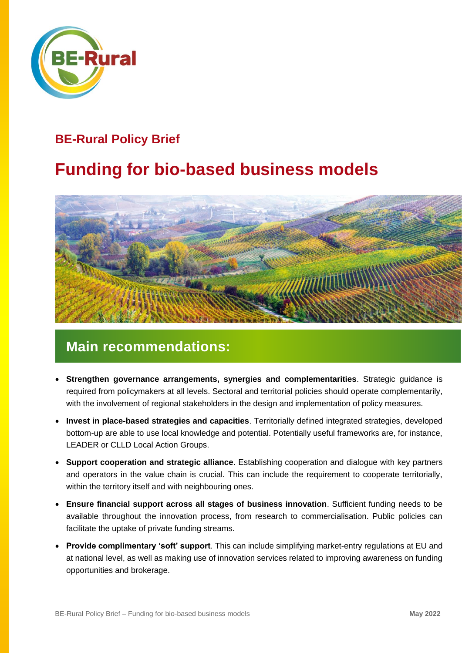

#### **BE-Rural Policy Brief**

## **Funding for bio-based business models**



### **Main recommendations:**

- **Strengthen governance arrangements, synergies and complementarities**. Strategic guidance is required from policymakers at all levels. Sectoral and territorial policies should operate complementarily, with the involvement of regional stakeholders in the design and implementation of policy measures.
- **Invest in place-based strategies and capacities**. Territorially defined integrated strategies, developed bottom-up are able to use local knowledge and potential. Potentially useful frameworks are, for instance, LEADER or CLLD Local Action Groups.
- **Support cooperation and strategic alliance**. Establishing cooperation and dialogue with key partners and operators in the value chain is crucial. This can include the requirement to cooperate territorially, within the territory itself and with neighbouring ones.
- **Ensure financial support across all stages of business innovation**. Sufficient funding needs to be available throughout the innovation process, from research to commercialisation. Public policies can facilitate the uptake of private funding streams.
- **Provide complimentary 'soft' support**. This can include simplifying market-entry regulations at EU and at national level, as well as making use of innovation services related to improving awareness on funding opportunities and brokerage.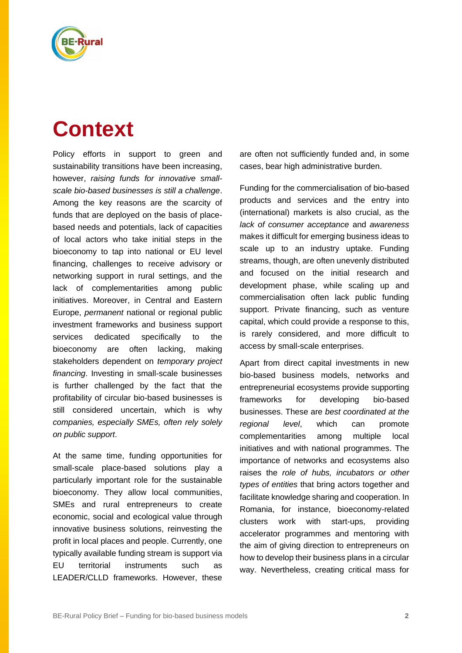

# **Context**

Policy efforts in support to green and sustainability transitions have been increasing, however, *raising funds for innovative smallscale bio-based businesses is still a challenge*. Among the key reasons are the scarcity of funds that are deployed on the basis of placebased needs and potentials, lack of capacities of local actors who take initial steps in the bioeconomy to tap into national or EU level financing, challenges to receive advisory or networking support in rural settings, and the lack of complementarities among public initiatives. Moreover, in Central and Eastern Europe, *permanent* national or regional public investment frameworks and business support services dedicated specifically to the bioeconomy are often lacking, making stakeholders dependent on *temporary project financing*. Investing in small-scale businesses is further challenged by the fact that the profitability of circular bio-based businesses is still considered uncertain, which is why *companies, especially SMEs, often rely solely on public support*.

At the same time, funding opportunities for small-scale place-based solutions play a particularly important role for the sustainable bioeconomy. They allow local communities, SMEs and rural entrepreneurs to create economic, social and ecological value through innovative business solutions, reinvesting the profit in local places and people. Currently, one typically available funding stream is support via EU territorial instruments such as LEADER/CLLD frameworks. However, these

are often not sufficiently funded and, in some cases, bear high administrative burden.

Funding for the commercialisation of bio-based products and services and the entry into (international) markets is also crucial, as the *lack of consumer acceptance* and *awareness* makes it difficult for emerging business ideas to scale up to an industry uptake. Funding streams, though, are often unevenly distributed and focused on the initial research and development phase, while scaling up and commercialisation often lack public funding support. Private financing, such as venture capital, which could provide a response to this, is rarely considered, and more difficult to access by small-scale enterprises.

Apart from direct capital investments in new bio-based business models, networks and entrepreneurial ecosystems provide supporting frameworks for developing bio-based businesses. These are *best coordinated at the regional level*, which can promote complementarities among multiple local initiatives and with national programmes. The importance of networks and ecosystems also raises the *role of hubs, incubators or other types of entities* that bring actors together and facilitate knowledge sharing and cooperation. In Romania, for instance, bioeconomy-related clusters work with start-ups, providing accelerator programmes and mentoring with the aim of giving direction to entrepreneurs on how to develop their business plans in a circular way. Nevertheless, creating critical mass for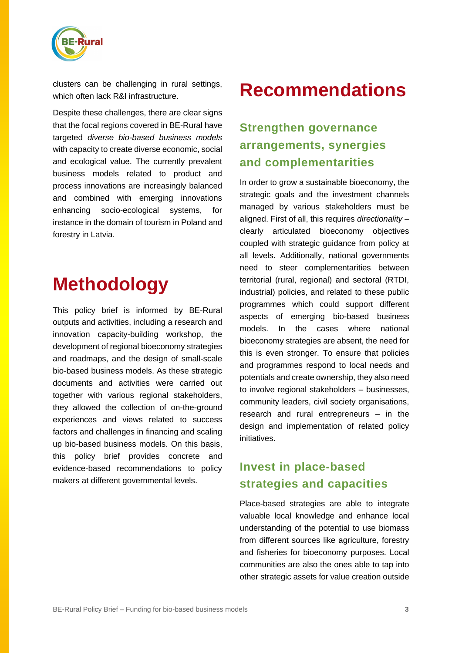

clusters can be challenging in rural settings, which often lack R&I infrastructure.

Despite these challenges, there are clear signs that the focal regions covered in BE-Rural have targeted *diverse bio-based business models* with capacity to create diverse economic, social and ecological value. The currently prevalent business models related to product and process innovations are increasingly balanced and combined with emerging innovations enhancing socio-ecological systems, for instance in the domain of tourism in Poland and forestry in Latvia.

## **Methodology**

This policy brief is informed by BE-Rural outputs and activities, including a research and innovation capacity-building workshop, the development of regional bioeconomy strategies and roadmaps, and the design of small-scale bio-based business models. As these strategic documents and activities were carried out together with various regional stakeholders, they allowed the collection of on-the-ground experiences and views related to success factors and challenges in financing and scaling up bio-based business models. On this basis, this policy brief provides concrete and evidence-based recommendations to policy makers at different governmental levels.

## **Recommendations**

### **Strengthen governance arrangements, synergies and complementarities**

In order to grow a sustainable bioeconomy, the strategic goals and the investment channels managed by various stakeholders must be aligned. First of all, this requires *directionality* – clearly articulated bioeconomy objectives coupled with strategic guidance from policy at all levels. Additionally, national governments need to steer complementarities between territorial (rural, regional) and sectoral (RTDI, industrial) policies, and related to these public programmes which could support different aspects of emerging bio-based business models. In the cases where national bioeconomy strategies are absent, the need for this is even stronger. To ensure that policies and programmes respond to local needs and potentials and create ownership, they also need to involve regional stakeholders – businesses, community leaders, civil society organisations, research and rural entrepreneurs – in the design and implementation of related policy initiatives.

#### **Invest in place-based strategies and capacities**

Place-based strategies are able to integrate valuable local knowledge and enhance local understanding of the potential to use biomass from different sources like agriculture, forestry and fisheries for bioeconomy purposes. Local communities are also the ones able to tap into other strategic assets for value creation outside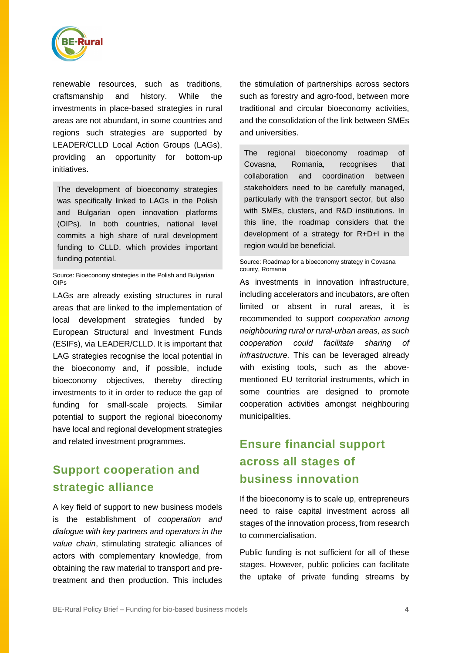

renewable resources, such as traditions, craftsmanship and history. While the investments in place-based strategies in rural areas are not abundant, in some countries and regions such strategies are supported by LEADER/CLLD Local Action Groups (LAGs), providing an opportunity for bottom-up initiatives.

The development of bioeconomy strategies was specifically linked to LAGs in the Polish and Bulgarian open innovation platforms (OIPs). In both countries, national level commits a high share of rural development funding to CLLD, which provides important funding potential.

Source: Bioeconomy strategies in the Polish and Bulgarian OIPs

LAGs are already existing structures in rural areas that are linked to the implementation of local development strategies funded by European Structural and Investment Funds (ESIFs), via LEADER/CLLD. It is important that LAG strategies recognise the local potential in the bioeconomy and, if possible, include bioeconomy objectives, thereby directing investments to it in order to reduce the gap of funding for small-scale projects. Similar potential to support the regional bioeconomy have local and regional development strategies and related investment programmes.

#### **Support cooperation and strategic alliance**

A key field of support to new business models is the establishment of *cooperation and dialogue with key partners and operators in the value chain*, stimulating strategic alliances of actors with complementary knowledge, from obtaining the raw material to transport and pretreatment and then production. This includes

the stimulation of partnerships across sectors such as forestry and agro-food, between more traditional and circular bioeconomy activities, and the consolidation of the link between SMEs and universities.

The regional bioeconomy roadmap of Covasna, Romania, recognises that collaboration and coordination between stakeholders need to be carefully managed, particularly with the transport sector, but also with SMEs, clusters, and R&D institutions. In this line, the roadmap considers that the development of a strategy for R+D+I in the region would be beneficial.

Source: [Roadmap for a bioeconomy strategy in Covasna](https://be-rural.eu/wp-content/uploads/2022/01/EN_OIP-Covasna-_BioRoadmap_with-Annex.pdf)  [county, Romania](https://be-rural.eu/wp-content/uploads/2022/01/EN_OIP-Covasna-_BioRoadmap_with-Annex.pdf)

As investments in innovation infrastructure, including accelerators and incubators, are often limited or absent in rural areas, it is recommended to support *cooperation among neighbouring rural or rural-urban areas, as such cooperation could facilitate sharing of infrastructure.* This can be leveraged already with existing tools, such as the abovementioned EU territorial instruments, which in some countries are designed to promote cooperation activities amongst neighbouring municipalities.

#### **Ensure financial support across all stages of business innovation**

If the bioeconomy is to scale up, entrepreneurs need to raise capital investment across all stages of the innovation process, from research to commercialisation.

Public funding is not sufficient for all of these stages. However, public policies can facilitate the uptake of private funding streams by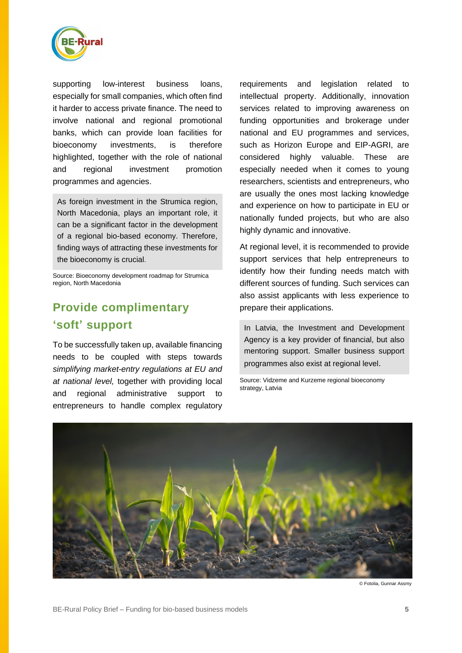

supporting low-interest business loans, especially for small companies, which often find it harder to access private finance. The need to involve national and regional promotional banks, which can provide loan facilities for bioeconomy investments, is therefore highlighted, together with the role of national and regional investment promotion programmes and agencies.

As foreign investment in the Strumica region, North Macedonia, plays an important role, it can be a significant factor in the development of a regional bio-based economy. Therefore, finding ways of attracting these investments for the bioeconomy is crucial.

Source: [Bioeconomy development roadmap for Strumica](https://be-rural.eu/wp-content/uploads/2021/12/BE-Rural_D5.3_SDEWES-Skopje_EN.pdf)  [region,](https://be-rural.eu/wp-content/uploads/2021/12/BE-Rural_D5.3_SDEWES-Skopje_EN.pdf) North Macedonia

#### **Provide complimentary 'soft' support**

To be successfully taken up, available financing needs to be coupled with steps towards *simplifying market-entry regulations at EU and at national level,* together with providing local and regional administrative support to entrepreneurs to handle complex regulatory

requirements and legislation related to intellectual property. Additionally, innovation services related to improving awareness on funding opportunities and brokerage under national and EU programmes and services, such as Horizon Europe and EIP-AGRI, are considered highly valuable. These are especially needed when it comes to young researchers, scientists and entrepreneurs, who are usually the ones most lacking knowledge and experience on how to participate in EU or nationally funded projects, but who are also highly dynamic and innovative.

At regional level, it is recommended to provide support services that help entrepreneurs to identify how their funding needs match with different sources of funding. Such services can also assist applicants with less experience to prepare their applications.

In Latvia, the Investment and Development Agency is a key provider of financial, but also mentoring support. Smaller business support programmes also exist at regional level.

Source: [Vidzeme and Kurzeme regional bioeconomy](https://be-rural.eu/wp-content/uploads/2022/01/Vidzemes_un_Kurzemes_bioekonomikas_strategija_Be-Rural-F.pdf)  [strategy,](https://be-rural.eu/wp-content/uploads/2022/01/Vidzemes_un_Kurzemes_bioekonomikas_strategija_Be-Rural-F.pdf) Latvia



© Fotolia, Gunnar Assmy